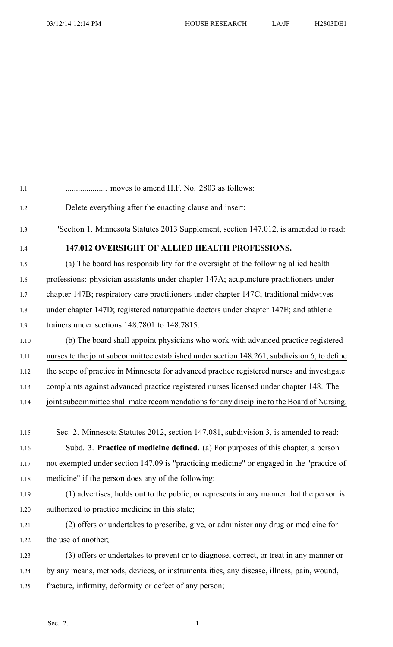| 1.1  |                                                                                              |
|------|----------------------------------------------------------------------------------------------|
| 1.2  | Delete everything after the enacting clause and insert:                                      |
| 1.3  | "Section 1. Minnesota Statutes 2013 Supplement, section 147.012, is amended to read:         |
| 1.4  | 147.012 OVERSIGHT OF ALLIED HEALTH PROFESSIONS.                                              |
| 1.5  | (a) The board has responsibility for the oversight of the following allied health            |
| 1.6  | professions: physician assistants under chapter 147A; acupuncture practitioners under        |
| 1.7  | chapter 147B; respiratory care practitioners under chapter 147C; traditional midwives        |
| 1.8  | under chapter 147D; registered naturopathic doctors under chapter 147E; and athletic         |
| 1.9  | trainers under sections 148.7801 to 148.7815.                                                |
| 1.10 | (b) The board shall appoint physicians who work with advanced practice registered            |
| 1.11 | nurses to the joint subcommittee established under section 148.261, subdivision 6, to define |
| 1.12 | the scope of practice in Minnesota for advanced practice registered nurses and investigate   |
| 1.13 | complaints against advanced practice registered nurses licensed under chapter 148. The       |
| 1.14 | joint subcommittee shall make recommendations for any discipline to the Board of Nursing.    |
|      |                                                                                              |
| 1.15 | Sec. 2. Minnesota Statutes 2012, section 147.081, subdivision 3, is amended to read:         |
| 1.16 | Subd. 3. Practice of medicine defined. (a) For purposes of this chapter, a person            |
| 1.17 | not exempted under section 147.09 is "practicing medicine" or engaged in the "practice of    |
| 1.18 | medicine" if the person does any of the following:                                           |
| 1.19 | (1) advertises, holds out to the public, or represents in any manner that the person is      |
| 1.20 | authorized to practice medicine in this state;                                               |
| 1.21 | (2) offers or undertakes to prescribe, give, or administer any drug or medicine for          |
| 1.22 | the use of another;                                                                          |
| 1.23 | (3) offers or undertakes to prevent or to diagnose, correct, or treat in any manner or       |
|      |                                                                                              |

- 1.24 by any means, methods, devices, or instrumentalities, any disease, illness, pain, wound,
- 1.25 fracture, infirmity, deformity or defect of any person;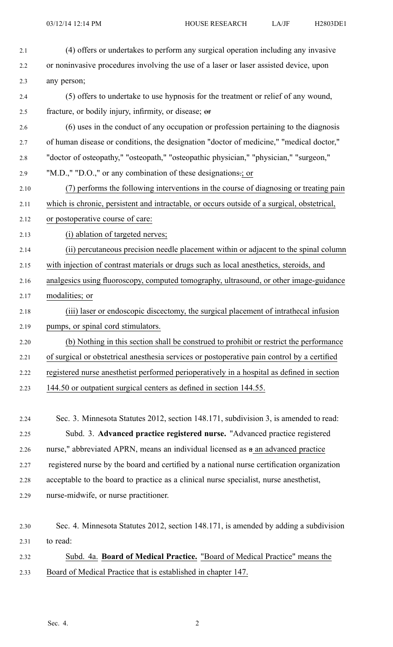| 2.1  | (4) offers or undertakes to perform any surgical operation including any invasive           |
|------|---------------------------------------------------------------------------------------------|
| 2.2  | or noninvasive procedures involving the use of a laser or laser assisted device, upon       |
| 2.3  | any person;                                                                                 |
| 2.4  | (5) offers to undertake to use hypnosis for the treatment or relief of any wound,           |
| 2.5  | fracture, or bodily injury, infirmity, or disease; or                                       |
| 2.6  | (6) uses in the conduct of any occupation or profession pertaining to the diagnosis         |
| 2.7  | of human disease or conditions, the designation "doctor of medicine," "medical doctor,"     |
| 2.8  | "doctor of osteopathy," "osteopath," "osteopathic physician," "physician," "surgeon,"       |
| 2.9  | "M.D.," "D.O.," or any combination of these designations -; or                              |
| 2.10 | (7) performs the following interventions in the course of diagnosing or treating pain       |
| 2.11 | which is chronic, persistent and intractable, or occurs outside of a surgical, obstetrical, |
| 2.12 | or postoperative course of care:                                                            |
| 2.13 | (i) ablation of targeted nerves;                                                            |
| 2.14 | (ii) percutaneous precision needle placement within or adjacent to the spinal column        |
| 2.15 | with injection of contrast materials or drugs such as local anesthetics, steroids, and      |
| 2.16 | analgesics using fluoroscopy, computed tomography, ultrasound, or other image-guidance      |
| 2.17 | modalities; or                                                                              |
| 2.18 | (iii) laser or endoscopic discectomy, the surgical placement of intrathecal infusion        |
| 2.19 | pumps, or spinal cord stimulators.                                                          |
| 2.20 | (b) Nothing in this section shall be construed to prohibit or restrict the performance      |
| 2.21 | of surgical or obstetrical anesthesia services or postoperative pain control by a certified |
| 2.22 | registered nurse anesthetist performed perioperatively in a hospital as defined in section  |
| 2.23 | 144.50 or outpatient surgical centers as defined in section 144.55.                         |

2.24 Sec. 3. Minnesota Statutes 2012, section 148.171, subdivision 3, is amended to read: 2.25 Subd. 3. **Advanced practice registered nurse.** "Advanced practice registered 2.26 nurse," abbreviated APRN, means an individual licensed as  $a$  an advanced practice 2.27 registered nurse by the board and certified by <sup>a</sup> national nurse certification organization 2.28 acceptable to the board to practice as <sup>a</sup> clinical nurse specialist, nurse anesthetist, 2.29 nurse-midwife, or nurse practitioner.

```
2.30 Sec. 4. Minnesota Statutes 2012, section 148.171, is amended by adding a subdivision
2.31 to read:
2.32 Subd. 4a. Board of Medical Practice. "Board of Medical Practice" means the
```
2.33 Board of Medical Practice that is established in chapter 147.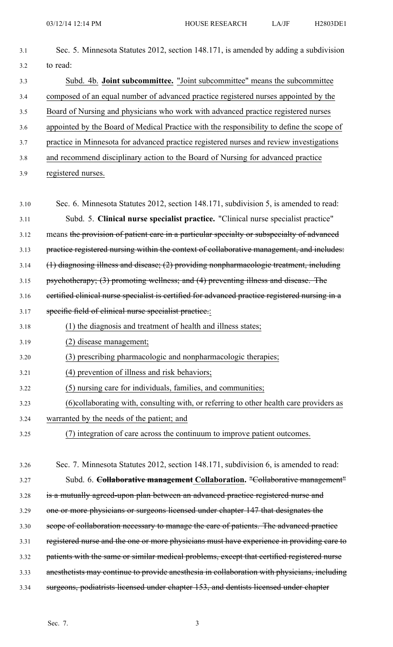| 3.1  | Sec. 5. Minnesota Statutes 2012, section 148.171, is amended by adding a subdivision           |
|------|------------------------------------------------------------------------------------------------|
| 3.2  | to read:                                                                                       |
| 3.3  | Subd. 4b. Joint subcommittee. "Joint subcommittee" means the subcommittee                      |
| 3.4  | composed of an equal number of advanced practice registered nurses appointed by the            |
| 3.5  | Board of Nursing and physicians who work with advanced practice registered nurses              |
| 3.6  | appointed by the Board of Medical Practice with the responsibility to define the scope of      |
| 3.7  | practice in Minnesota for advanced practice registered nurses and review investigations        |
| 3.8  | and recommend disciplinary action to the Board of Nursing for advanced practice                |
| 3.9  | registered nurses.                                                                             |
| 3.10 | Sec. 6. Minnesota Statutes 2012, section 148.171, subdivision 5, is amended to read:           |
| 3.11 | Subd. 5. Clinical nurse specialist practice. "Clinical nurse specialist practice"              |
| 3.12 | means the provision of patient care in a particular specialty or subspecialty of advanced      |
| 3.13 | practice registered nursing within the context of collaborative management, and includes:      |
| 3.14 | (1) diagnosing illness and disease; (2) providing nonpharmacologic treatment, including        |
| 3.15 | psychotherapy; (3) promoting wellness; and (4) preventing illness and disease. The             |
| 3.16 | eertified elinical nurse specialist is certified for advanced practice registered nursing in a |
| 3.17 | specific field of clinical nurse specialist practice.:                                         |
| 3.18 | (1) the diagnosis and treatment of health and illness states;                                  |
| 3.19 | (2) disease management;                                                                        |
| 3.20 | (3) prescribing pharmacologic and nonpharmacologic therapies;                                  |
| 3.21 | (4) prevention of illness and risk behaviors;                                                  |
| 3.22 | (5) nursing care for individuals, families, and communities;                                   |
| 3.23 | (6) collaborating with, consulting with, or referring to other health care providers as        |
| 3.24 | warranted by the needs of the patient; and                                                     |
| 3.25 | (7) integration of care across the continuum to improve patient outcomes.                      |
|      |                                                                                                |
| 3.26 | Sec. 7. Minnesota Statutes 2012, section 148.171, subdivision 6, is amended to read:           |
| 3.27 | Subd. 6. Collaborative management Collaboration. "Collaborative management"                    |
| 3.28 | is a mutually agreed-upon plan between an advanced practice registered nurse and               |
| 3.29 | one or more physicians or surgeons licensed under chapter 147 that designates the              |
| 3.30 | scope of collaboration necessary to manage the care of patients. The advanced practice         |
| 3.31 | registered nurse and the one or more physicians must have experience in providing care to      |
| 3.32 | patients with the same or similar medical problems, except that certified registered nurse     |
| 3.33 | anesthetists may continue to provide anesthesia in collaboration with physicians, including    |
| 3.34 | surgeons, podiatrists licensed under chapter 153, and dentists licensed under chapter          |

Sec. 7. 3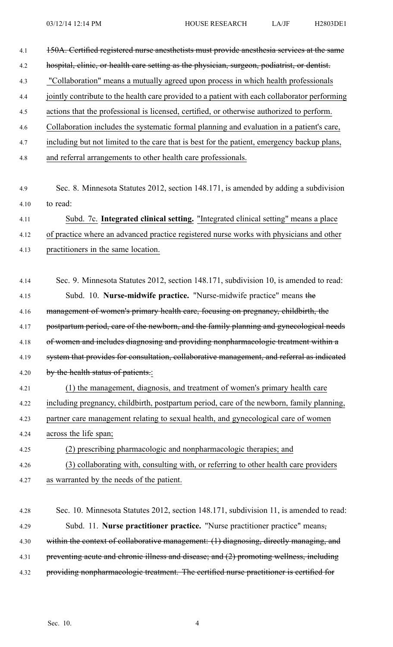| 4.1  | 150A. Certified registered nurse anesthetists must provide anesthesia services at the same    |
|------|-----------------------------------------------------------------------------------------------|
| 4.2  | hospital, elinic, or health care setting as the physician, surgeon, podiatrist, or dentist.   |
| 4.3  | "Collaboration" means a mutually agreed upon process in which health professionals            |
| 4.4  | jointly contribute to the health care provided to a patient with each collaborator performing |
| 4.5  | actions that the professional is licensed, certified, or otherwise authorized to perform.     |
| 4.6  | Collaboration includes the systematic formal planning and evaluation in a patient's care,     |
| 4.7  | including but not limited to the care that is best for the patient, emergency backup plans,   |
| 4.8  | and referral arrangements to other health care professionals.                                 |
|      |                                                                                               |
| 4.9  | Sec. 8. Minnesota Statutes 2012, section 148.171, is amended by adding a subdivision          |
| 4.10 | to read:                                                                                      |
| 4.11 | Subd. 7c. Integrated clinical setting. "Integrated clinical setting" means a place            |
| 4.12 | of practice where an advanced practice registered nurse works with physicians and other       |
| 4.13 | practitioners in the same location.                                                           |
|      |                                                                                               |
| 4.14 | Sec. 9. Minnesota Statutes 2012, section 148.171, subdivision 10, is amended to read:         |
| 4.15 | Subd. 10. Nurse-midwife practice. "Nurse-midwife practice" means the                          |
| 4.16 | management of women's primary health care, focusing on pregnancy, childbirth, the             |
| 4.17 | postpartum period, care of the newborn, and the family planning and gynecological needs       |
| 4.18 | of women and includes diagnosing and providing nonpharmacologic treatment within a            |
| 4.19 | system that provides for consultation, collaborative management, and referral as indicated    |
| 4.20 | by the health status of patients.:                                                            |
| 4.21 | (1) the management, diagnosis, and treatment of women's primary health care                   |
| 4.22 | including pregnancy, childbirth, postpartum period, care of the newborn, family planning,     |
| 4.23 | partner care management relating to sexual health, and gynecological care of women            |
| 4.24 | across the life span;                                                                         |
| 4.25 | (2) prescribing pharmacologic and nonpharmacologic therapies; and                             |
| 4.26 | (3) collaborating with, consulting with, or referring to other health care providers          |
| 4.27 | as warranted by the needs of the patient.                                                     |
|      |                                                                                               |
| 4.28 | Sec. 10. Minnesota Statutes 2012, section 148.171, subdivision 11, is amended to read:        |
| 4.29 | Subd. 11. Nurse practitioner practice. "Nurse practitioner practice" means-                   |
| 4.30 | within the context of collaborative management: (1) diagnosing, directly managing, and        |
| 4.31 | preventing acute and chronic illness and disease; and (2) promoting wellness, including       |
| 4.32 | providing nonpharmacologic treatment. The certified nurse practitioner is certified for       |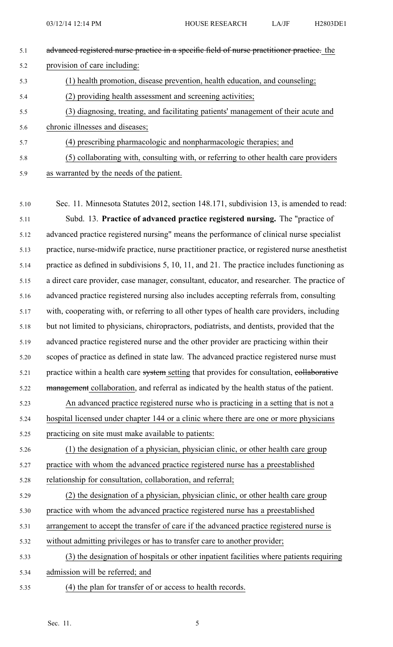| 5.1 | advanced registered nurse practice in a specific field of nurse practitioner practice. the |
|-----|--------------------------------------------------------------------------------------------|
| 5.2 | provision of care including:                                                               |
| 5.3 | (1) health promotion, disease prevention, health education, and counseling;                |
| 5.4 | (2) providing health assessment and screening activities;                                  |
| 5.5 | (3) diagnosing, treating, and facilitating patients' management of their acute and         |
| 5.6 | chronic illnesses and diseases;                                                            |
| 5.7 | (4) prescribing pharmacologic and nonpharmacologic therapies; and                          |
| 5.8 | (5) collaborating with, consulting with, or referring to other health care providers       |
| 5.9 | as warranted by the needs of the patient.                                                  |

- 5.10 Sec. 11. Minnesota Statutes 2012, section 148.171, subdivision 13, is amended to read: 5.11 Subd. 13. **Practice of advanced practice registered nursing.** The "practice of 5.12 advanced practice registered nursing" means the performance of clinical nurse specialist 5.13 practice, nurse-midwife practice, nurse practitioner practice, or registered nurse anesthetist 5.14 practice as defined in subdivisions 5, 10, 11, and 21. The practice includes functioning as 5.15 <sup>a</sup> direct care provider, case manager, consultant, educator, and researcher. The practice of 5.16 advanced practice registered nursing also includes accepting referrals from, consulting 5.17 with, cooperating with, or referring to all other types of health care providers, including 5.18 but not limited to physicians, chiropractors, podiatrists, and dentists, provided that the 5.19 advanced practice registered nurse and the other provider are practicing within their 5.20 scopes of practice as defined in state law. The advanced practice registered nurse must 5.21 practice within a health care system setting that provides for consultation, collaborative 5.22 management collaboration, and referral as indicated by the health status of the patient. 5.23 An advanced practice registered nurse who is practicing in <sup>a</sup> setting that is not <sup>a</sup> 5.24 hospital licensed under chapter 144 or <sup>a</sup> clinic where there are one or more physicians
- 5.25 practicing on site must make available to patients:

5.26 (1) the designation of <sup>a</sup> physician, physician clinic, or other health care group 5.27 practice with whom the advanced practice registered nurse has <sup>a</sup> preestablished

5.28 relationship for consultation, collaboration, and referral;

- 5.29 (2) the designation of <sup>a</sup> physician, physician clinic, or other health care group 5.30 practice with whom the advanced practice registered nurse has <sup>a</sup> preestablished 5.31 arrangemen<sup>t</sup> to accep<sup>t</sup> the transfer of care if the advanced practice registered nurse is 5.32 without admitting privileges or has to transfer care to another provider;
- 5.33 (3) the designation of hospitals or other inpatient facilities where patients requiring 5.34 admission will be referred; and
- 5.35 (4) the plan for transfer of or access to health records.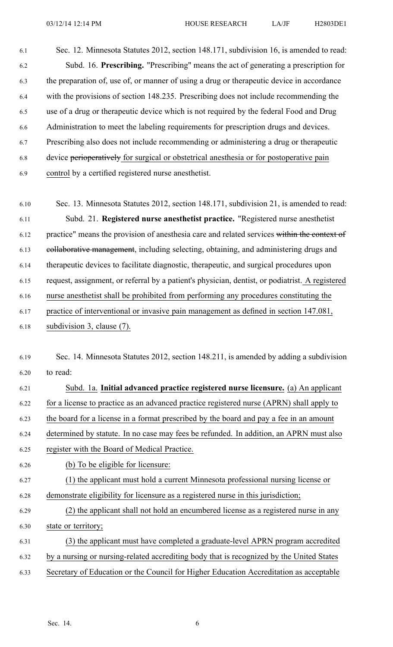6.1 Sec. 12. Minnesota Statutes 2012, section 148.171, subdivision 16, is amended to read: 6.2 Subd. 16. **Prescribing.** "Prescribing" means the act of generating <sup>a</sup> prescription for 6.3 the preparation of, use of, or manner of using <sup>a</sup> drug or therapeutic device in accordance 6.4 with the provisions of section 148.235. Prescribing does not include recommending the 6.5 use of <sup>a</sup> drug or therapeutic device which is not required by the federal Food and Drug 6.6 Administration to meet the labeling requirements for prescription drugs and devices. 6.7 Prescribing also does not include recommending or administering <sup>a</sup> drug or therapeutic 6.8 device perioperatively for surgical or obstetrical anesthesia or for postoperative pain 6.9 control by <sup>a</sup> certified registered nurse anesthetist.

6.10 Sec. 13. Minnesota Statutes 2012, section 148.171, subdivision 21, is amended to read: 6.11 Subd. 21. **Registered nurse anesthetist practice.** "Registered nurse anesthetist 6.12 practice" means the provision of anesthesia care and related services within the context of 6.13 collaborative management, including selecting, obtaining, and administering drugs and 6.14 therapeutic devices to facilitate diagnostic, therapeutic, and surgical procedures upon 6.15 request, assignment, or referral by <sup>a</sup> patient's physician, dentist, or podiatrist. A registered 6.16 nurse anesthetist shall be prohibited from performing any procedures constituting the 6.17 practice of interventional or invasive pain managemen<sup>t</sup> as defined in section 147.081, 6.18 subdivision 3, clause (7).

- 6.19 Sec. 14. Minnesota Statutes 2012, section 148.211, is amended by adding <sup>a</sup> subdivision 6.20 to read:
- 6.21 Subd. 1a. **Initial advanced practice registered nurse licensure.** (a) An applicant 6.22 for <sup>a</sup> license to practice as an advanced practice registered nurse (APRN) shall apply to 6.23 the board for <sup>a</sup> license in <sup>a</sup> format prescribed by the board and pay <sup>a</sup> fee in an amount
- 6.24 determined by statute. In no case may fees be refunded. In addition, an APRN must also
- 6.25 register with the Board of Medical Practice.
- 6.26 (b) To be eligible for licensure:
- 6.27 (1) the applicant must hold <sup>a</sup> current Minnesota professional nursing license or 6.28 demonstrate eligibility for licensure as <sup>a</sup> registered nurse in this jurisdiction;
- 6.29 (2) the applicant shall not hold an encumbered license as <sup>a</sup> registered nurse in any 6.30 state or territory;
- 6.31 (3) the applicant must have completed <sup>a</sup> graduate-level APRN program accredited
- 6.32 by <sup>a</sup> nursing or nursing-related accrediting body that is recognized by the United States
- 6.33 Secretary of Education or the Council for Higher Education Accreditation as acceptable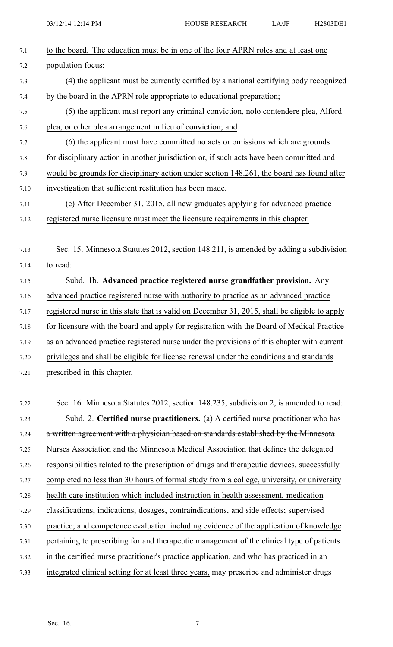| 7.1     | to the board. The education must be in one of the four APRN roles and at least one            |
|---------|-----------------------------------------------------------------------------------------------|
| 7.2     | population focus;                                                                             |
| 7.3     | (4) the applicant must be currently certified by a national certifying body recognized        |
| 7.4     | by the board in the APRN role appropriate to educational preparation;                         |
| 7.5     | (5) the applicant must report any criminal conviction, nolo contendere plea, Alford           |
| 7.6     | plea, or other plea arrangement in lieu of conviction; and                                    |
| 7.7     | (6) the applicant must have committed no acts or omissions which are grounds                  |
| $7.8\,$ | for disciplinary action in another jurisdiction or, if such acts have been committed and      |
| 7.9     | would be grounds for disciplinary action under section 148.261, the board has found after     |
| 7.10    | investigation that sufficient restitution has been made.                                      |
| 7.11    | (c) After December 31, 2015, all new graduates applying for advanced practice                 |
| 7.12    | registered nurse licensure must meet the licensure requirements in this chapter.              |
|         |                                                                                               |
| 7.13    | Sec. 15. Minnesota Statutes 2012, section 148.211, is amended by adding a subdivision         |
| 7.14    | to read:                                                                                      |
| 7.15    | Subd. 1b. Advanced practice registered nurse grandfather provision. Any                       |
| 7.16    | advanced practice registered nurse with authority to practice as an advanced practice         |
| 7.17    | registered nurse in this state that is valid on December 31, 2015, shall be eligible to apply |
| 7.18    | for licensure with the board and apply for registration with the Board of Medical Practice    |
| 7.19    | as an advanced practice registered nurse under the provisions of this chapter with current    |
| 7.20    | privileges and shall be eligible for license renewal under the conditions and standards       |
| 7.21    | prescribed in this chapter.                                                                   |
|         |                                                                                               |
| 7.22    | Sec. 16. Minnesota Statutes 2012, section 148.235, subdivision 2, is amended to read:         |
| 7.23    | Subd. 2. Certified nurse practitioners. (a) A certified nurse practitioner who has            |
| 7.24    | a written agreement with a physician based on standards established by the Minnesota          |
| 7.25    | Nurses Association and the Minnesota Medical Association that defines the delegated           |
| 7.26    | responsibilities related to the prescription of drugs and therapeutic devices, successfully   |
| 7.27    | completed no less than 30 hours of formal study from a college, university, or university     |
| 7.28    | health care institution which included instruction in health assessment, medication           |
| 7.29    | classifications, indications, dosages, contraindications, and side effects; supervised        |
| 7.30    | practice; and competence evaluation including evidence of the application of knowledge        |
| 7.31    | pertaining to prescribing for and therapeutic management of the clinical type of patients     |
| 7.32    | in the certified nurse practitioner's practice application, and who has practiced in an       |
| 7.33    | integrated clinical setting for at least three years, may prescribe and administer drugs      |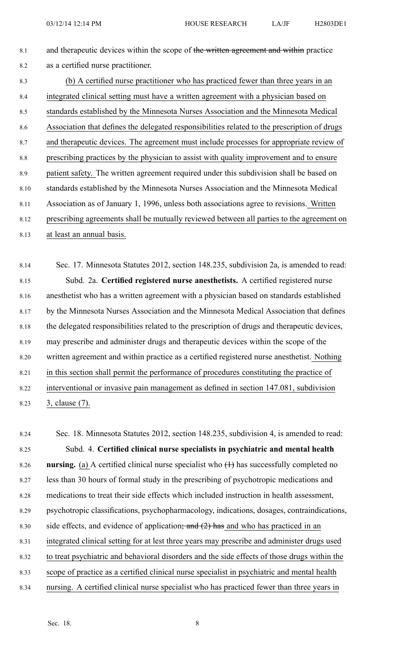- 8.1 and therapeutic devices within the scope of the written agreement and within practice 8.2 as <sup>a</sup> certified nurse practitioner.
- 8.3 (b) A certified nurse practitioner who has practiced fewer than three years in an 8.4 integrated clinical setting must have <sup>a</sup> written agreemen<sup>t</sup> with <sup>a</sup> physician based on 8.5 standards established by the Minnesota Nurses Association and the Minnesota Medical 8.6 Association that defines the delegated responsibilities related to the prescription of drugs 8.7 and therapeutic devices. The agreemen<sup>t</sup> must include processes for appropriate review of 8.8 prescribing practices by the physician to assist with quality improvement and to ensure 8.9 patient safety. The written agreemen<sup>t</sup> required under this subdivision shall be based on 8.10 standards established by the Minnesota Nurses Association and the Minnesota Medical 8.11 Association as of January 1, 1996, unless both associations agree to revisions. Written 8.12 prescribing agreements shall be mutually reviewed between all parties to the agreemen<sup>t</sup> on 8.13 at least an annual basis.

8.14 Sec. 17. Minnesota Statutes 2012, section 148.235, subdivision 2a, is amended to read: 8.15 Subd. 2a. **Certified registered nurse anesthetists.** A certified registered nurse 8.16 anesthetist who has <sup>a</sup> written agreemen<sup>t</sup> with <sup>a</sup> physician based on standards established 8.17 by the Minnesota Nurses Association and the Minnesota Medical Association that defines 8.18 the delegated responsibilities related to the prescription of drugs and therapeutic devices, 8.19 may prescribe and administer drugs and therapeutic devices within the scope of the 8.20 written agreemen<sup>t</sup> and within practice as <sup>a</sup> certified registered nurse anesthetist. Nothing 8.21 in this section shall permit the performance of procedures constituting the practice of 8.22 interventional or invasive pain managemen<sup>t</sup> as defined in section 147.081, subdivision 8.23 3, clause (7).

8.24 Sec. 18. Minnesota Statutes 2012, section 148.235, subdivision 4, is amended to read: 8.25 Subd. 4. **Certified clinical nurse specialists in psychiatric and mental health** 8.26 **nursing.** (a) A certified clinical nurse specialist who  $(1)$  has successfully completed no 8.27 less than 30 hours of formal study in the prescribing of psychotropic medications and 8.28 medications to treat their side effects which included instruction in health assessment, 8.29 psychotropic classifications, psychopharmacology, indications, dosages, contraindications, 8.30 side effects, and evidence of application; and  $(2)$  has and who has practiced in an 8.31 integrated clinical setting for at lest three years may prescribe and administer drugs used 8.32 to treat psychiatric and behavioral disorders and the side effects of those drugs within the 8.33 scope of practice as <sup>a</sup> certified clinical nurse specialist in psychiatric and mental health 8.34 nursing. A certified clinical nurse specialist who has practiced fewer than three years in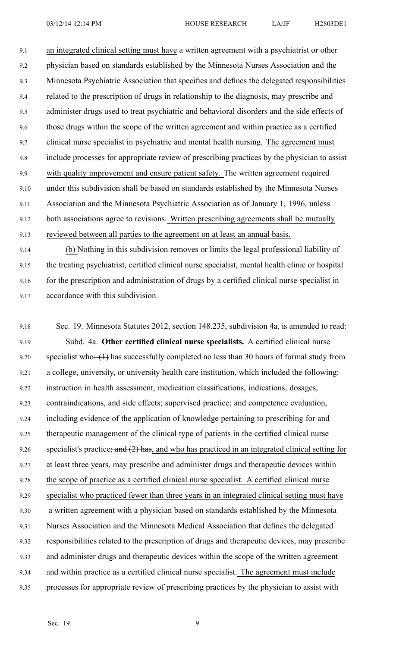9.1 an integrated clinical setting must have <sup>a</sup> written agreemen<sup>t</sup> with <sup>a</sup> psychiatrist or other 9.2 physician based on standards established by the Minnesota Nurses Association and the 9.3 Minnesota Psychiatric Association that specifies and defines the delegated responsibilities 9.4 related to the prescription of drugs in relationship to the diagnosis, may prescribe and 9.5 administer drugs used to treat psychiatric and behavioral disorders and the side effects of 9.6 those drugs within the scope of the written agreemen<sup>t</sup> and within practice as <sup>a</sup> certified 9.7 clinical nurse specialist in psychiatric and mental health nursing. The agreemen<sup>t</sup> must 9.8 include processes for appropriate review of prescribing practices by the physician to assist 9.9 with quality improvement and ensure patient safety. The written agreemen<sup>t</sup> required 9.10 under this subdivision shall be based on standards established by the Minnesota Nurses 9.11 Association and the Minnesota Psychiatric Association as of January 1, 1996, unless 9.12 both associations agree to revisions. Written prescribing agreements shall be mutually 9.13 reviewed between all parties to the agreemen<sup>t</sup> on at least an annual basis. 9.14 (b) Nothing in this subdivision removes or limits the legal professional liability of

9.15 the treating psychiatrist, certified clinical nurse specialist, mental health clinic or hospital 9.16 for the prescription and administration of drugs by <sup>a</sup> certified clinical nurse specialist in 9.17 accordance with this subdivision.

9.18 Sec. 19. Minnesota Statutes 2012, section 148.235, subdivision 4a, is amended to read: 9.19 Subd. 4a. **Other certified clinical nurse specialists.** A certified clinical nurse 9.20 specialist who:  $(1)$  has successfully completed no less than 30 hours of formal study from 9.21 <sup>a</sup> college, university, or university health care institution, which included the following: 9.22 instruction in health assessment, medication classifications, indications, dosages, 9.23 contraindications, and side effects; supervised practice; and competence evaluation, 9.24 including evidence of the application of knowledge pertaining to prescribing for and 9.25 therapeutic managemen<sup>t</sup> of the clinical type of patients in the certified clinical nurse 9.26 specialist's practice; and  $(2)$  has, and who has practiced in an integrated clinical setting for 9.27 at least three years, may prescribe and administer drugs and therapeutic devices within 9.28 the scope of practice as <sup>a</sup> certified clinical nurse specialist. A certified clinical nurse 9.29 specialist who practiced fewer than three years in an integrated clinical setting must have 9.30 <sup>a</sup> written agreemen<sup>t</sup> with <sup>a</sup> physician based on standards established by the Minnesota 9.31 Nurses Association and the Minnesota Medical Association that defines the delegated 9.32 responsibilities related to the prescription of drugs and therapeutic devices, may prescribe 9.33 and administer drugs and therapeutic devices within the scope of the written agreemen<sup>t</sup> 9.34 and within practice as <sup>a</sup> certified clinical nurse specialist. The agreemen<sup>t</sup> must include 9.35 processes for appropriate review of prescribing practices by the physician to assist with